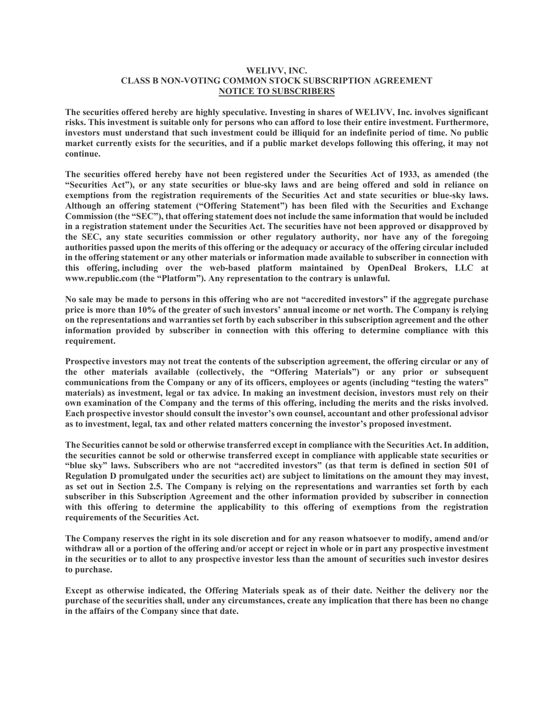## **WELIVV, INC. CLASS B NON-VOTING COMMON STOCK SUBSCRIPTION AGREEMENT NOTICE TO SUBSCRIBERS**

**The securities offered hereby are highly speculative. Investing in shares of WELIVV, Inc. involves significant risks. This investment is suitable only for persons who can afford to lose their entire investment. Furthermore, investors must understand that such investment could be illiquid for an indefinite period of time. No public market currently exists for the securities, and if a public market develops following this offering, it may not continue.**

**The securities offered hereby have not been registered under the Securities Act of 1933, as amended (the "Securities Act"), or any state securities or blue-sky laws and are being offered and sold in reliance on exemptions from the registration requirements of the Securities Act and state securities or blue-sky laws. Although an offering statement ("Offering Statement") has been filed with the Securities and Exchange Commission (the "SEC"), that offering statement does not include the same information that would be included in a registration statement under the Securities Act. The securities have not been approved or disapproved by the SEC, any state securities commission or other regulatory authority, nor have any of the foregoing authorities passed upon the merits of this offering or the adequacy or accuracy of the offering circular included in the offering statement or any other materials or information made available to subscriber in connection with this offering, including over the web-based platform maintained by OpenDeal Brokers, LLC at www.republic.com (the "Platform"). Any representation to the contrary is unlawful.**

**No sale may be made to persons in this offering who are not "accredited investors" if the aggregate purchase price is more than 10% of the greater of such investors' annual income or net worth. The Company is relying on the representations and warranties set forth by each subscriber in this subscription agreement and the other information provided by subscriber in connection with this offering to determine compliance with this requirement.**

**Prospective investors may not treat the contents of the subscription agreement, the offering circular or any of the other materials available (collectively, the "Offering Materials") or any prior or subsequent communications from the Company or any of its officers, employees or agents (including "testing the waters" materials) as investment, legal or tax advice. In making an investment decision, investors must rely on their own examination of the Company and the terms of this offering, including the merits and the risks involved. Each prospective investor should consult the investor's own counsel, accountant and other professional advisor as to investment, legal, tax and other related matters concerning the investor's proposed investment.**

**The Securities cannot be sold or otherwise transferred except in compliance with the Securities Act. In addition, the securities cannot be sold or otherwise transferred except in compliance with applicable state securities or "blue sky" laws. Subscribers who are not "accredited investors" (as that term is defined in section 501 of Regulation D promulgated under the securities act) are subject to limitations on the amount they may invest, as set out in Section 2.5. The Company is relying on the representations and warranties set forth by each subscriber in this Subscription Agreement and the other information provided by subscriber in connection with this offering to determine the applicability to this offering of exemptions from the registration requirements of the Securities Act.**

**The Company reserves the right in its sole discretion and for any reason whatsoever to modify, amend and/or withdraw all or a portion of the offering and/or accept or reject in whole or in part any prospective investment in the securities or to allot to any prospective investor less than the amount of securities such investor desires to purchase.**

**Except as otherwise indicated, the Offering Materials speak as of their date. Neither the delivery nor the purchase of the securities shall, under any circumstances, create any implication that there has been no change in the affairs of the Company since that date.**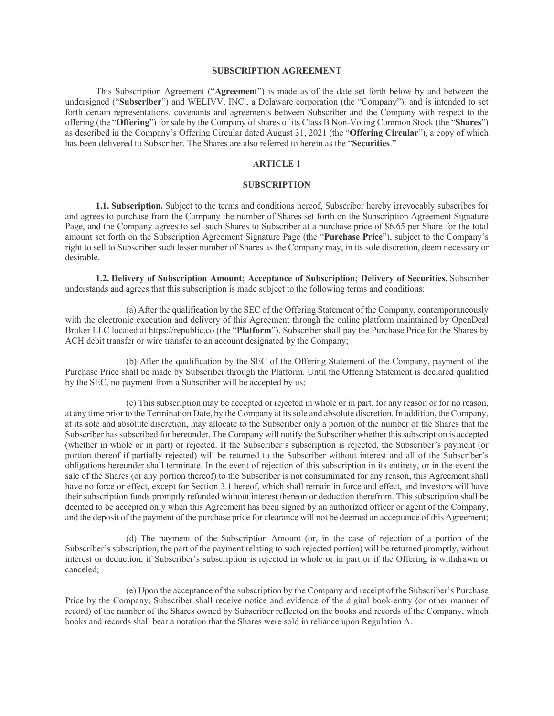## **SUBSCRIPTION AGREEMENT**

This Subscription Agreement ("**Agreement**") is made as of the date set forth below by and between the undersigned ("**Subscriber**") and WELIVV, INC., a Delaware corporation (the "Company"), and is intended to set forth certain representations, covenants and agreements between Subscriber and the Company with respect to the offering (the "**Offering**") for sale by the Company of shares of its Class B Non-Voting Common Stock (the "**Shares**") as described in the Company's Offering Circular dated August 31, 2021 (the "**Offering Circular**"), a copy of which has been delivered to Subscriber. The Shares are also referred to herein as the "**Securities**."

## **ARTICLE 1**

## **SUBSCRIPTION**

**1.1. Subscription.** Subject to the terms and conditions hereof, Subscriber hereby irrevocably subscribes for and agrees to purchase from the Company the number of Shares set forth on the Subscription Agreement Signature Page, and the Company agrees to sell such Shares to Subscriber at a purchase price of \$6.65 per Share for the total amount set forth on the Subscription Agreement Signature Page (the "**Purchase Price**"), subject to the Company's right to sell to Subscriber such lesser number of Shares as the Company may, in its sole discretion, deem necessary or desirable.

**1.2. Delivery of Subscription Amount; Acceptance of Subscription; Delivery of Securities.** Subscriber understands and agrees that this subscription is made subject to the following terms and conditions:

(a) After the qualification by the SEC of the Offering Statement of the Company, contemporaneously with the electronic execution and delivery of this Agreement through the online platform maintained by OpenDeal Broker LLC located at https://republic.co (the "**Platform**"). Subscriber shall pay the Purchase Price for the Shares by ACH debit transfer or wire transfer to an account designated by the Company;

(b) After the qualification by the SEC of the Offering Statement of the Company, payment of the Purchase Price shall be made by Subscriber through the Platform. Until the Offering Statement is declared qualified by the SEC, no payment from a Subscriber will be accepted by us;

(c) This subscription may be accepted or rejected in whole or in part, for any reason or for no reason, at any time prior to the Termination Date, by the Company at its sole and absolute discretion. In addition, the Company, at its sole and absolute discretion, may allocate to the Subscriber only a portion of the number of the Shares that the Subscriber has subscribed for hereunder. The Company will notify the Subscriber whether this subscription is accepted (whether in whole or in part) or rejected. If the Subscriber's subscription is rejected, the Subscriber's payment (or portion thereof if partially rejected) will be returned to the Subscriber without interest and all of the Subscriber's obligations hereunder shall terminate. In the event of rejection of this subscription in its entirety, or in the event the sale of the Shares (or any portion thereof) to the Subscriber is not consummated for any reason, this Agreement shall have no force or effect, except for Section 3.1 hereof, which shall remain in force and effect, and investors will have their subscription funds promptly refunded without interest thereon or deduction therefrom. This subscription shall be deemed to be accepted only when this Agreement has been signed by an authorized officer or agent of the Company, and the deposit of the payment of the purchase price for clearance will not be deemed an acceptance of this Agreement;

(d) The payment of the Subscription Amount (or, in the case of rejection of a portion of the Subscriber's subscription, the part of the payment relating to such rejected portion) will be returned promptly, without interest or deduction, if Subscriber's subscription is rejected in whole or in part or if the Offering is withdrawn or canceled;

(e) Upon the acceptance of the subscription by the Company and receipt of the Subscriber's Purchase Price by the Company, Subscriber shall receive notice and evidence of the digital book-entry (or other manner of record) of the number of the Shares owned by Subscriber reflected on the books and records of the Company, which books and records shall bear a notation that the Shares were sold in reliance upon Regulation A.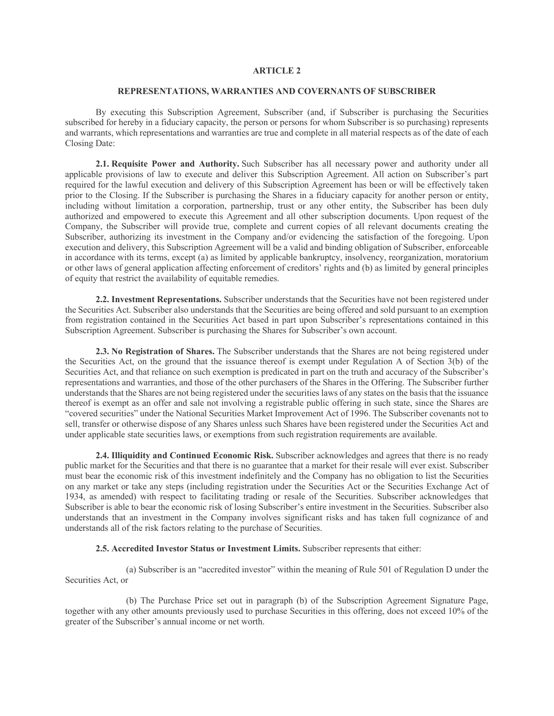## **ARTICLE 2**

### **REPRESENTATIONS, WARRANTIES AND COVERNANTS OF SUBSCRIBER**

By executing this Subscription Agreement, Subscriber (and, if Subscriber is purchasing the Securities subscribed for hereby in a fiduciary capacity, the person or persons for whom Subscriber is so purchasing) represents and warrants, which representations and warranties are true and complete in all material respects as of the date of each Closing Date:

**2.1. Requisite Power and Authority.** Such Subscriber has all necessary power and authority under all applicable provisions of law to execute and deliver this Subscription Agreement. All action on Subscriber's part required for the lawful execution and delivery of this Subscription Agreement has been or will be effectively taken prior to the Closing. If the Subscriber is purchasing the Shares in a fiduciary capacity for another person or entity, including without limitation a corporation, partnership, trust or any other entity, the Subscriber has been duly authorized and empowered to execute this Agreement and all other subscription documents. Upon request of the Company, the Subscriber will provide true, complete and current copies of all relevant documents creating the Subscriber, authorizing its investment in the Company and/or evidencing the satisfaction of the foregoing. Upon execution and delivery, this Subscription Agreement will be a valid and binding obligation of Subscriber, enforceable in accordance with its terms, except (a) as limited by applicable bankruptcy, insolvency, reorganization, moratorium or other laws of general application affecting enforcement of creditors' rights and (b) as limited by general principles of equity that restrict the availability of equitable remedies.

**2.2. Investment Representations.** Subscriber understands that the Securities have not been registered under the Securities Act. Subscriber also understands that the Securities are being offered and sold pursuant to an exemption from registration contained in the Securities Act based in part upon Subscriber's representations contained in this Subscription Agreement. Subscriber is purchasing the Shares for Subscriber's own account.

**2.3. No Registration of Shares.** The Subscriber understands that the Shares are not being registered under the Securities Act, on the ground that the issuance thereof is exempt under Regulation A of Section 3(b) of the Securities Act, and that reliance on such exemption is predicated in part on the truth and accuracy of the Subscriber's representations and warranties, and those of the other purchasers of the Shares in the Offering. The Subscriber further understands that the Shares are not being registered under the securities laws of any states on the basis that the issuance thereof is exempt as an offer and sale not involving a registrable public offering in such state, since the Shares are "covered securities" under the National Securities Market Improvement Act of 1996. The Subscriber covenants not to sell, transfer or otherwise dispose of any Shares unless such Shares have been registered under the Securities Act and under applicable state securities laws, or exemptions from such registration requirements are available.

**2.4. Illiquidity and Continued Economic Risk.** Subscriber acknowledges and agrees that there is no ready public market for the Securities and that there is no guarantee that a market for their resale will ever exist. Subscriber must bear the economic risk of this investment indefinitely and the Company has no obligation to list the Securities on any market or take any steps (including registration under the Securities Act or the Securities Exchange Act of 1934, as amended) with respect to facilitating trading or resale of the Securities. Subscriber acknowledges that Subscriber is able to bear the economic risk of losing Subscriber's entire investment in the Securities. Subscriber also understands that an investment in the Company involves significant risks and has taken full cognizance of and understands all of the risk factors relating to the purchase of Securities.

**2.5. Accredited Investor Status or Investment Limits.** Subscriber represents that either:

(a) Subscriber is an "accredited investor" within the meaning of Rule 501 of Regulation D under the Securities Act, or

(b) The Purchase Price set out in paragraph (b) of the Subscription Agreement Signature Page, together with any other amounts previously used to purchase Securities in this offering, does not exceed 10% of the greater of the Subscriber's annual income or net worth.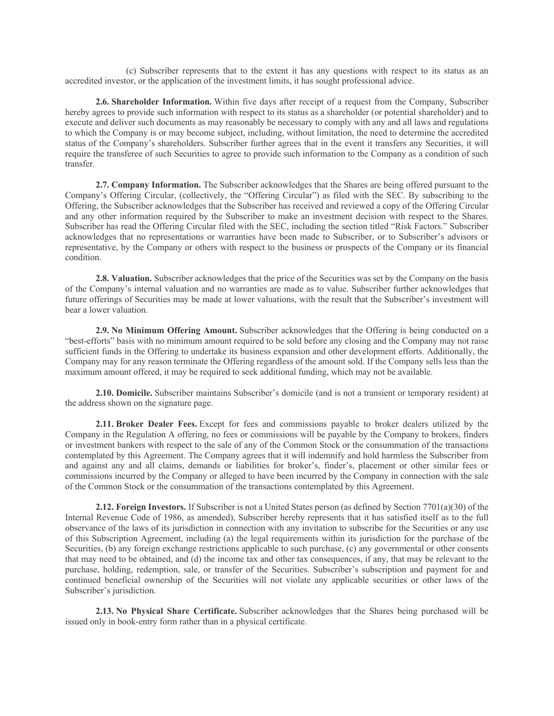(c) Subscriber represents that to the extent it has any questions with respect to its status as an accredited investor, or the application of the investment limits, it has sought professional advice.

**2.6. Shareholder Information.** Within five days after receipt of a request from the Company, Subscriber hereby agrees to provide such information with respect to its status as a shareholder (or potential shareholder) and to execute and deliver such documents as may reasonably be necessary to comply with any and all laws and regulations to which the Company is or may become subject, including, without limitation, the need to determine the accredited status of the Company's shareholders. Subscriber further agrees that in the event it transfers any Securities, it will require the transferee of such Securities to agree to provide such information to the Company as a condition of such transfer.

**2.7. Company Information.** The Subscriber acknowledges that the Shares are being offered pursuant to the Company's Offering Circular, (collectively, the "Offering Circular") as filed with the SEC. By subscribing to the Offering, the Subscriber acknowledges that the Subscriber has received and reviewed a copy of the Offering Circular and any other information required by the Subscriber to make an investment decision with respect to the Shares. Subscriber has read the Offering Circular filed with the SEC, including the section titled "Risk Factors." Subscriber acknowledges that no representations or warranties have been made to Subscriber, or to Subscriber's advisors or representative, by the Company or others with respect to the business or prospects of the Company or its financial condition.

**2.8. Valuation.** Subscriber acknowledges that the price of the Securities was set by the Company on the basis of the Company's internal valuation and no warranties are made as to value. Subscriber further acknowledges that future offerings of Securities may be made at lower valuations, with the result that the Subscriber's investment will bear a lower valuation.

**2.9. No Minimum Offering Amount.** Subscriber acknowledges that the Offering is being conducted on a "best-efforts" basis with no minimum amount required to be sold before any closing and the Company may not raise sufficient funds in the Offering to undertake its business expansion and other development efforts. Additionally, the Company may for any reason terminate the Offering regardless of the amount sold. If the Company sells less than the maximum amount offered, it may be required to seek additional funding, which may not be available.

**2.10. Domicile.** Subscriber maintains Subscriber's domicile (and is not a transient or temporary resident) at the address shown on the signature page.

**2.11. Broker Dealer Fees.** Except for fees and commissions payable to broker dealers utilized by the Company in the Regulation A offering, no fees or commissions will be payable by the Company to brokers, finders or investment bankers with respect to the sale of any of the Common Stock or the consummation of the transactions contemplated by this Agreement. The Company agrees that it will indemnify and hold harmless the Subscriber from and against any and all claims, demands or liabilities for broker's, finder's, placement or other similar fees or commissions incurred by the Company or alleged to have been incurred by the Company in connection with the sale of the Common Stock or the consummation of the transactions contemplated by this Agreement.

**2.12. Foreign Investors.** If Subscriber is not a United States person (as defined by Section 7701(a)(30) of the Internal Revenue Code of 1986, as amended), Subscriber hereby represents that it has satisfied itself as to the full observance of the laws of its jurisdiction in connection with any invitation to subscribe for the Securities or any use of this Subscription Agreement, including (a) the legal requirements within its jurisdiction for the purchase of the Securities, (b) any foreign exchange restrictions applicable to such purchase, (c) any governmental or other consents that may need to be obtained, and (d) the income tax and other tax consequences, if any, that may be relevant to the purchase, holding, redemption, sale, or transfer of the Securities. Subscriber's subscription and payment for and continued beneficial ownership of the Securities will not violate any applicable securities or other laws of the Subscriber's jurisdiction.

**2.13. No Physical Share Certificate.** Subscriber acknowledges that the Shares being purchased will be issued only in book-entry form rather than in a physical certificate.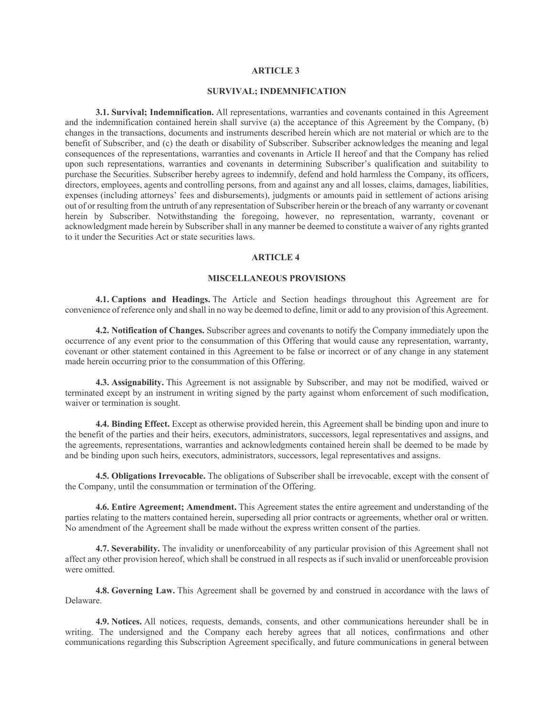## **ARTICLE 3**

### **SURVIVAL; INDEMNIFICATION**

**3.1. Survival; Indemnification.** All representations, warranties and covenants contained in this Agreement and the indemnification contained herein shall survive (a) the acceptance of this Agreement by the Company, (b) changes in the transactions, documents and instruments described herein which are not material or which are to the benefit of Subscriber, and (c) the death or disability of Subscriber. Subscriber acknowledges the meaning and legal consequences of the representations, warranties and covenants in Article II hereof and that the Company has relied upon such representations, warranties and covenants in determining Subscriber's qualification and suitability to purchase the Securities. Subscriber hereby agrees to indemnify, defend and hold harmless the Company, its officers, directors, employees, agents and controlling persons, from and against any and all losses, claims, damages, liabilities, expenses (including attorneys' fees and disbursements), judgments or amounts paid in settlement of actions arising out of or resulting from the untruth of any representation of Subscriber herein or the breach of any warranty or covenant herein by Subscriber. Notwithstanding the foregoing, however, no representation, warranty, covenant or acknowledgment made herein by Subscriber shall in any manner be deemed to constitute a waiver of any rights granted to it under the Securities Act or state securities laws.

#### **ARTICLE 4**

### **MISCELLANEOUS PROVISIONS**

**4.1. Captions and Headings.** The Article and Section headings throughout this Agreement are for convenience of reference only and shall in no way be deemed to define, limit or add to any provision of this Agreement.

**4.2. Notification of Changes.** Subscriber agrees and covenants to notify the Company immediately upon the occurrence of any event prior to the consummation of this Offering that would cause any representation, warranty, covenant or other statement contained in this Agreement to be false or incorrect or of any change in any statement made herein occurring prior to the consummation of this Offering.

**4.3. Assignability.** This Agreement is not assignable by Subscriber, and may not be modified, waived or terminated except by an instrument in writing signed by the party against whom enforcement of such modification, waiver or termination is sought.

**4.4. Binding Effect.** Except as otherwise provided herein, this Agreement shall be binding upon and inure to the benefit of the parties and their heirs, executors, administrators, successors, legal representatives and assigns, and the agreements, representations, warranties and acknowledgments contained herein shall be deemed to be made by and be binding upon such heirs, executors, administrators, successors, legal representatives and assigns.

**4.5. Obligations Irrevocable.** The obligations of Subscriber shall be irrevocable, except with the consent of the Company, until the consummation or termination of the Offering.

**4.6. Entire Agreement; Amendment.** This Agreement states the entire agreement and understanding of the parties relating to the matters contained herein, superseding all prior contracts or agreements, whether oral or written. No amendment of the Agreement shall be made without the express written consent of the parties.

**4.7. Severability.** The invalidity or unenforceability of any particular provision of this Agreement shall not affect any other provision hereof, which shall be construed in all respects as if such invalid or unenforceable provision were omitted.

**4.8. Governing Law.** This Agreement shall be governed by and construed in accordance with the laws of Delaware.

**4.9. Notices.** All notices, requests, demands, consents, and other communications hereunder shall be in writing. The undersigned and the Company each hereby agrees that all notices, confirmations and other communications regarding this Subscription Agreement specifically, and future communications in general between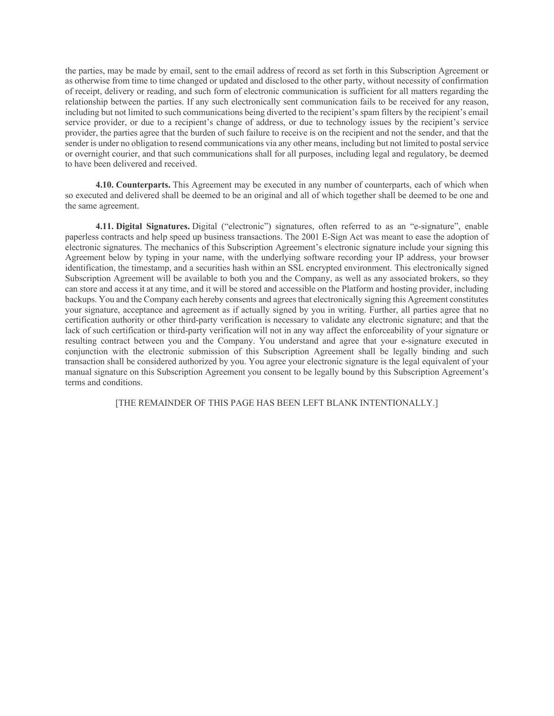the parties, may be made by email, sent to the email address of record as set forth in this Subscription Agreement or as otherwise from time to time changed or updated and disclosed to the other party, without necessity of confirmation of receipt, delivery or reading, and such form of electronic communication is sufficient for all matters regarding the relationship between the parties. If any such electronically sent communication fails to be received for any reason, including but not limited to such communications being diverted to the recipient's spam filters by the recipient's email service provider, or due to a recipient's change of address, or due to technology issues by the recipient's service provider, the parties agree that the burden of such failure to receive is on the recipient and not the sender, and that the sender is under no obligation to resend communications via any other means, including but not limited to postal service or overnight courier, and that such communications shall for all purposes, including legal and regulatory, be deemed to have been delivered and received.

**4.10. Counterparts.** This Agreement may be executed in any number of counterparts, each of which when so executed and delivered shall be deemed to be an original and all of which together shall be deemed to be one and the same agreement.

**4.11. Digital Signatures.** Digital ("electronic") signatures, often referred to as an "e-signature", enable paperless contracts and help speed up business transactions. The 2001 E-Sign Act was meant to ease the adoption of electronic signatures. The mechanics of this Subscription Agreement's electronic signature include your signing this Agreement below by typing in your name, with the underlying software recording your IP address, your browser identification, the timestamp, and a securities hash within an SSL encrypted environment. This electronically signed Subscription Agreement will be available to both you and the Company, as well as any associated brokers, so they can store and access it at any time, and it will be stored and accessible on the Platform and hosting provider, including backups. You and the Company each hereby consents and agrees that electronically signing this Agreement constitutes your signature, acceptance and agreement as if actually signed by you in writing. Further, all parties agree that no certification authority or other third-party verification is necessary to validate any electronic signature; and that the lack of such certification or third-party verification will not in any way affect the enforceability of your signature or resulting contract between you and the Company. You understand and agree that your e-signature executed in conjunction with the electronic submission of this Subscription Agreement shall be legally binding and such transaction shall be considered authorized by you. You agree your electronic signature is the legal equivalent of your manual signature on this Subscription Agreement you consent to be legally bound by this Subscription Agreement's terms and conditions.

[THE REMAINDER OF THIS PAGE HAS BEEN LEFT BLANK INTENTIONALLY.]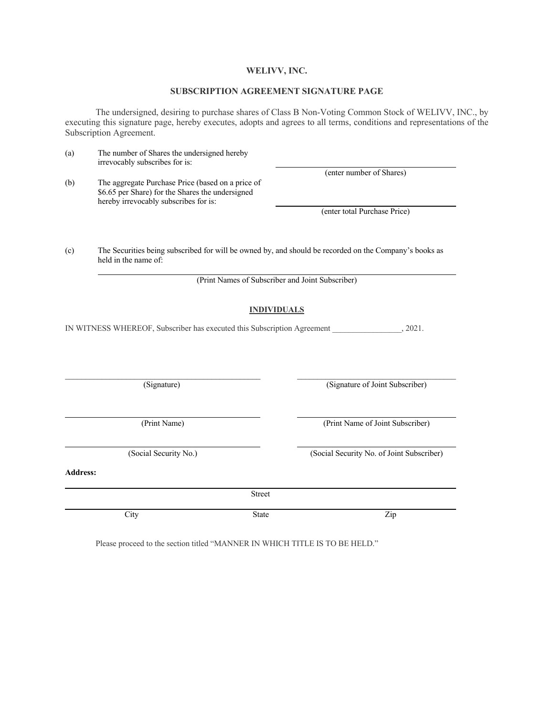## **WELIVV, INC.**

## **SUBSCRIPTION AGREEMENT SIGNATURE PAGE**

The undersigned, desiring to purchase shares of Class B Non-Voting Common Stock of WELIVV, INC., by executing this signature page, hereby executes, adopts and agrees to all terms, conditions and representations of the Subscription Agreement.

| (a)             | The number of Shares the undersigned hereby<br>irrevocably subscribes for is:                                                                  |                    |                                                  |  |  |
|-----------------|------------------------------------------------------------------------------------------------------------------------------------------------|--------------------|--------------------------------------------------|--|--|
| (b)             | The aggregate Purchase Price (based on a price of<br>\$6.65 per Share) for the Shares the undersigned<br>hereby irrevocably subscribes for is: |                    | (enter number of Shares)                         |  |  |
|                 |                                                                                                                                                |                    | (enter total Purchase Price)                     |  |  |
| (c)             | The Securities being subscribed for will be owned by, and should be recorded on the Company's books as<br>held in the name of:                 |                    |                                                  |  |  |
|                 |                                                                                                                                                |                    | (Print Names of Subscriber and Joint Subscriber) |  |  |
|                 |                                                                                                                                                | <b>INDIVIDUALS</b> |                                                  |  |  |
|                 | IN WITNESS WHEREOF, Subscriber has executed this Subscription Agreement                                                                        |                    | , 2021.                                          |  |  |
|                 |                                                                                                                                                |                    |                                                  |  |  |
|                 | (Signature)                                                                                                                                    |                    | (Signature of Joint Subscriber)                  |  |  |
|                 | (Print Name)                                                                                                                                   |                    | (Print Name of Joint Subscriber)                 |  |  |
|                 | (Social Security No.)                                                                                                                          |                    | (Social Security No. of Joint Subscriber)        |  |  |
| <b>Address:</b> |                                                                                                                                                |                    |                                                  |  |  |
|                 |                                                                                                                                                | <b>Street</b>      |                                                  |  |  |
|                 | City                                                                                                                                           | <b>State</b>       | Zip                                              |  |  |

Please proceed to the section titled "MANNER IN WHICH TITLE IS TO BE HELD."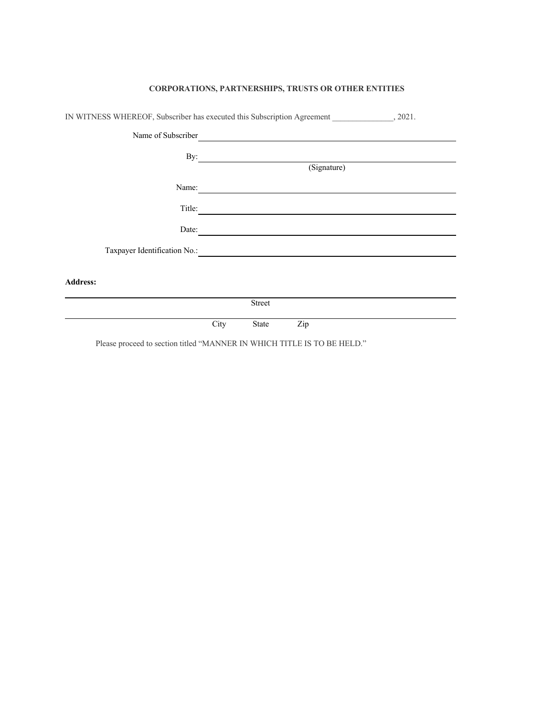| IN WITNESS WHEREOF, Subscriber has executed this Subscription Agreement 2021. |             |        |     |  |
|-------------------------------------------------------------------------------|-------------|--------|-----|--|
| Name of Subscriber                                                            |             |        |     |  |
| By:                                                                           |             |        |     |  |
|                                                                               | (Signature) |        |     |  |
| Name:                                                                         |             |        |     |  |
| Title:                                                                        |             |        |     |  |
| Date:                                                                         |             |        |     |  |
| Taxpayer Identification No.:                                                  |             |        |     |  |
| <b>Address:</b>                                                               |             |        |     |  |
|                                                                               |             | Street |     |  |
|                                                                               | City        | State  | Zip |  |

# **CORPORATIONS, PARTNERSHIPS, TRUSTS OR OTHER ENTITIES**

Please proceed to section titled "MANNER IN WHICH TITLE IS TO BE HELD."